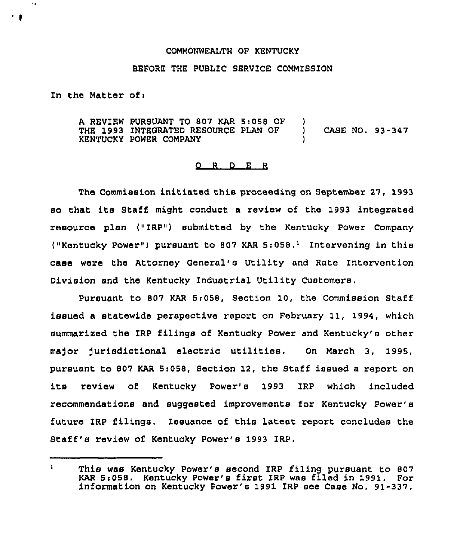## COMMONWEALTH OF KENTUCKY

## BEFORE THE PUBLIC SERVICE COMMISSION

In the Matter of:

 $\sim$   $\bullet$ 

A REVIEW PURSUANT TO 807 KAR 5:058 OF THE 1993 INTEGRATED RESOURCE PLAN OF KENTUCKY POWER COMPANY )<br>) ) CASE NO. 93-347 )

## 0 <sup>R</sup> <sup>D</sup> E <sup>R</sup>

The Commission initiated this proceeding on September 27, 1993 so that its Staff might conduct <sup>a</sup> review of the 1993 integrated resource plan ("ZRP") submitted by the Kentucky Power Company ("Kentucky Power") pursuant to 807 KAR  $5:058.^1$  Intervening in this case were the Attorney General's Utility and Rate Intervention Division and the Kentucky Industrial Utility Customers,

Pursuant to 807 KAR 5i058, Section 10, the Commission Staff issued a statewide perspective report on February 11, 1994, which summarized the IRP filings of Kentucky Power and Kentucky's other ma)or Jurisdictional electric utilities. On March 3, 1995, pursuant to 807 KAR Si058, Section 12, the Staff issued a report on its review of Kentucky Power's 1993 IRP which included recommendations and suggested improvements for Kentucky Power's future IRP filings. Issuance of this latest report concludes the Staff's review of Kentucky Power's 1993 ZRP.

 $\mathbf{1}$ This was Kentucky Power's second IRP filing pursuant to 807 KAR 5i058, Kentucky Power's first IRP was filed in 1991. For information on Kentucky Power's 1991 IRP see Case No. 91-337.